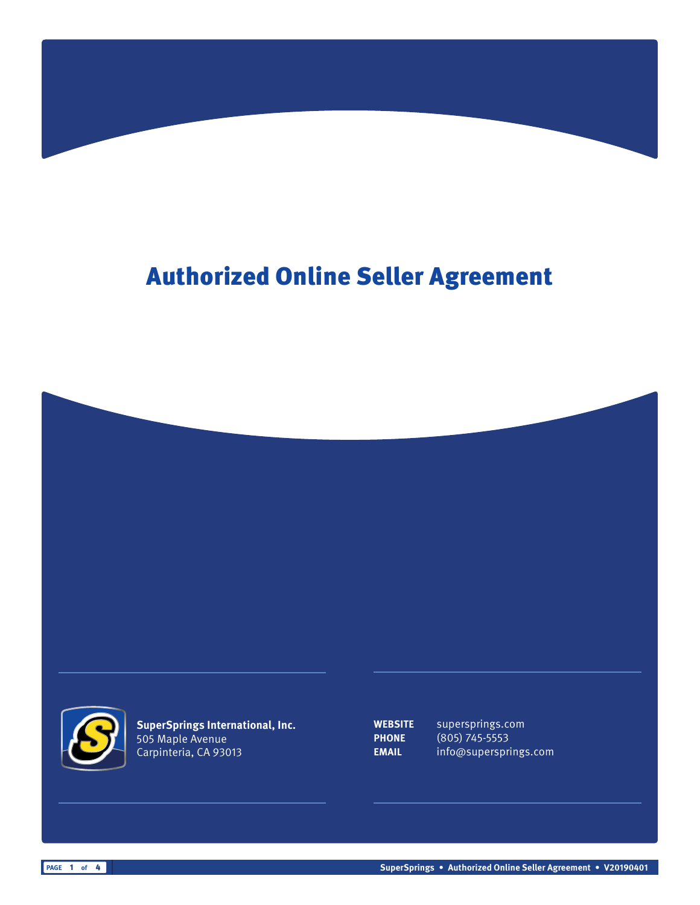## Authorized Online Seller Agreement



**SuperSprings International, Inc.** 505 Maple Avenue Carpinteria, CA 93013

**WEBSITE** supersprings.com **PHONE** (805) 745-5553 **EMAIL** info@supersprings.com

**PAGE** 1 of 4 **SuperSprings •** Authorized Online Seller Agreement • V20190401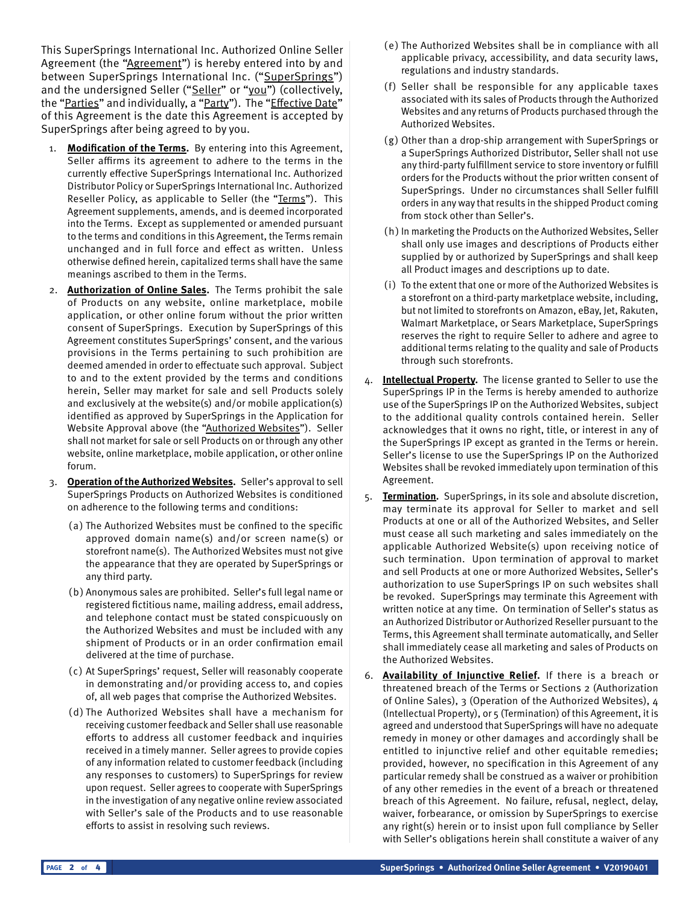This SuperSprings International Inc. Authorized Online Seller Agreement (the "Agreement") is hereby entered into by and between SuperSprings International Inc. ("SuperSprings") and the undersigned Seller ("Seller" or "you") (collectively, the "Parties" and individually, a "Party"). The "Effective Date" of this Agreement is the date this Agreement is accepted by SuperSprings after being agreed to by you.

- 1. **Modification of the Terms.** By entering into this Agreement, Seller affirms its agreement to adhere to the terms in the currently effective SuperSprings International Inc. Authorized Distributor Policy or SuperSprings International Inc. Authorized Reseller Policy, as applicable to Seller (the "Terms"). This Agreement supplements, amends, and is deemed incorporated into the Terms. Except as supplemented or amended pursuant to the terms and conditions in this Agreement, the Terms remain unchanged and in full force and effect as written. Unless otherwise defined herein, capitalized terms shall have the same meanings ascribed to them in the Terms.
- 2. **Authorization of Online Sales.** The Terms prohibit the sale of Products on any website, online marketplace, mobile application, or other online forum without the prior written consent of SuperSprings. Execution by SuperSprings of this Agreement constitutes SuperSprings' consent, and the various provisions in the Terms pertaining to such prohibition are deemed amended in order to effectuate such approval. Subject to and to the extent provided by the terms and conditions herein, Seller may market for sale and sell Products solely and exclusively at the website(s) and/or mobile application(s) identified as approved by SuperSprings in the Application for Website Approval above (the "Authorized Websites"). Seller shall not market for sale or sell Products on or through any other website, online marketplace, mobile application, or other online forum.
- 3. **Operation of the Authorized Websites.** Seller's approval to sell SuperSprings Products on Authorized Websites is conditioned on adherence to the following terms and conditions:
	- (a) The Authorized Websites must be confined to the specific approved domain name(s) and/or screen name(s) or storefront name(s). The Authorized Websites must not give the appearance that they are operated by SuperSprings or any third party.
	- (b) Anonymous sales are prohibited. Seller's full legal name or registered fictitious name, mailing address, email address, and telephone contact must be stated conspicuously on the Authorized Websites and must be included with any shipment of Products or in an order confirmation email delivered at the time of purchase.
	- ( c) At SuperSprings' request, Seller will reasonably cooperate in demonstrating and/or providing access to, and copies of, all web pages that comprise the Authorized Websites.
	- (d) The Authorized Websites shall have a mechanism for receiving customer feedback and Seller shall use reasonable efforts to address all customer feedback and inquiries received in a timely manner. Seller agrees to provide copies of any information related to customer feedback (including any responses to customers) to SuperSprings for review upon request. Seller agrees to cooperate with SuperSprings in the investigation of any negative online review associated with Seller's sale of the Products and to use reasonable efforts to assist in resolving such reviews.
- (e) The Authorized Websites shall be in compliance with all applicable privacy, accessibility, and data security laws, regulations and industry standards.
- (f) Seller shall be responsible for any applicable taxes associated with its sales of Products through the Authorized Websites and any returns of Products purchased through the Authorized Websites.
- (g) Other than a drop-ship arrangement with SuperSprings or a SuperSprings Authorized Distributor, Seller shall not use any third-party fulfillment service to store inventory or fulfill orders for the Products without the prior written consent of SuperSprings. Under no circumstances shall Seller fulfill orders in any way that results in the shipped Product coming from stock other than Seller's.
- (h) In marketing the Products on the Authorized Websites, Seller shall only use images and descriptions of Products either supplied by or authorized by SuperSprings and shall keep all Product images and descriptions up to date.
- (i) To the extent that one or more of the Authorized Websites is a storefront on a third-party marketplace website, including, but not limited to storefronts on Amazon, eBay, Jet, Rakuten, Walmart Marketplace, or Sears Marketplace, SuperSprings reserves the right to require Seller to adhere and agree to additional terms relating to the quality and sale of Products through such storefronts.
- 4. **Intellectual Property.** The license granted to Seller to use the SuperSprings IP in the Terms is hereby amended to authorize use of the SuperSprings IP on the Authorized Websites, subject to the additional quality controls contained herein. Seller acknowledges that it owns no right, title, or interest in any of the SuperSprings IP except as granted in the Terms or herein. Seller's license to use the SuperSprings IP on the Authorized Websites shall be revoked immediately upon termination of this Agreement.
- 5. **Termination.** SuperSprings, in its sole and absolute discretion, may terminate its approval for Seller to market and sell Products at one or all of the Authorized Websites, and Seller must cease all such marketing and sales immediately on the applicable Authorized Website(s) upon receiving notice of such termination. Upon termination of approval to market and sell Products at one or more Authorized Websites, Seller's authorization to use SuperSprings IP on such websites shall be revoked. SuperSprings may terminate this Agreement with written notice at any time. On termination of Seller's status as an Authorized Distributor or Authorized Reseller pursuant to the Terms, this Agreement shall terminate automatically, and Seller shall immediately cease all marketing and sales of Products on the Authorized Websites.
- 6. **Availability of Injunctive Relief.** If there is a breach or threatened breach of the Terms or Sections 2 (Authorization of Online Sales), 3 (Operation of the Authorized Websites), 4 (Intellectual Property), or 5 (Termination) of this Agreement, it is agreed and understood that SuperSprings will have no adequate remedy in money or other damages and accordingly shall be entitled to injunctive relief and other equitable remedies; provided, however, no specification in this Agreement of any particular remedy shall be construed as a waiver or prohibition of any other remedies in the event of a breach or threatened breach of this Agreement. No failure, refusal, neglect, delay, waiver, forbearance, or omission by SuperSprings to exercise any right(s) herein or to insist upon full compliance by Seller with Seller's obligations herein shall constitute a waiver of any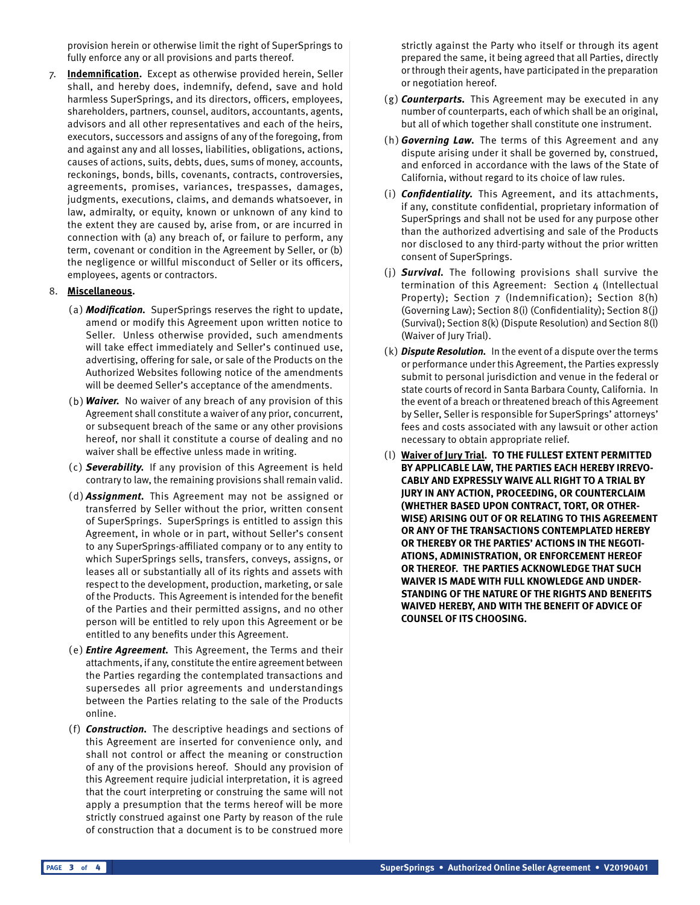provision herein or otherwise limit the right of SuperSprings to fully enforce any or all provisions and parts thereof.

7. **Indemnification.** Except as otherwise provided herein, Seller shall, and hereby does, indemnify, defend, save and hold harmless SuperSprings, and its directors, officers, employees, shareholders, partners, counsel, auditors, accountants, agents, advisors and all other representatives and each of the heirs, executors, successors and assigns of any of the foregoing, from and against any and all losses, liabilities, obligations, actions, causes of actions, suits, debts, dues, sums of money, accounts, reckonings, bonds, bills, covenants, contracts, controversies, agreements, promises, variances, trespasses, damages, judgments, executions, claims, and demands whatsoever, in law, admiralty, or equity, known or unknown of any kind to the extent they are caused by, arise from, or are incurred in connection with (a) any breach of, or failure to perform, any term, covenant or condition in the Agreement by Seller, or (b) the negligence or willful misconduct of Seller or its officers, employees, agents or contractors.

## 8. **Miscellaneous.**

- (a) **Modification.** SuperSprings reserves the right to update, amend or modify this Agreement upon written notice to Seller. Unless otherwise provided, such amendments will take effect immediately and Seller's continued use, advertising, offering for sale, or sale of the Products on the Authorized Websites following notice of the amendments will be deemed Seller's acceptance of the amendments.
- (b) **Waiver.** No waiver of any breach of any provision of this Agreement shall constitute a waiver of any prior, concurrent, or subsequent breach of the same or any other provisions hereof, nor shall it constitute a course of dealing and no waiver shall be effective unless made in writing.
- ( c) **Severability.** If any provision of this Agreement is held contrary to law, the remaining provisions shall remain valid.
- (d) **Assignment.** This Agreement may not be assigned or transferred by Seller without the prior, written consent of SuperSprings. SuperSprings is entitled to assign this Agreement, in whole or in part, without Seller's consent to any SuperSprings-affiliated company or to any entity to which SuperSprings sells, transfers, conveys, assigns, or leases all or substantially all of its rights and assets with respect to the development, production, marketing, or sale of the Products. This Agreement is intended for the benefit of the Parties and their permitted assigns, and no other person will be entitled to rely upon this Agreement or be entitled to any benefits under this Agreement.
- (e) **Entire Agreement.** This Agreement, the Terms and their attachments, if any, constitute the entire agreement between the Parties regarding the contemplated transactions and supersedes all prior agreements and understandings between the Parties relating to the sale of the Products online.
- (f) **Construction.** The descriptive headings and sections of this Agreement are inserted for convenience only, and shall not control or affect the meaning or construction of any of the provisions hereof. Should any provision of this Agreement require judicial interpretation, it is agreed that the court interpreting or construing the same will not apply a presumption that the terms hereof will be more strictly construed against one Party by reason of the rule of construction that a document is to be construed more

strictly against the Party who itself or through its agent prepared the same, it being agreed that all Parties, directly or through their agents, have participated in the preparation or negotiation hereof.

- (g) **Counterparts.** This Agreement may be executed in any number of counterparts, each of which shall be an original, but all of which together shall constitute one instrument.
- (h) **Governing Law.** The terms of this Agreement and any dispute arising under it shall be governed by, construed, and enforced in accordance with the laws of the State of California, without regard to its choice of law rules.
- (i) **Confidentiality.** This Agreement, and its attachments, if any, constitute confidential, proprietary information of SuperSprings and shall not be used for any purpose other than the authorized advertising and sale of the Products nor disclosed to any third-party without the prior written consent of SuperSprings.
- (j) **Survival.** The following provisions shall survive the termination of this Agreement: Section 4 (Intellectual Property); Section 7 (Indemnification); Section 8(h) (Governing Law); Section 8(i) (Confidentiality); Section 8(j) (Survival); Section 8(k) (Dispute Resolution) and Section 8(l) (Waiver of Jury Trial).
- (k) **Dispute Resolution.** In the event of a dispute over the terms or performance under this Agreement, the Parties expressly submit to personal jurisdiction and venue in the federal or state courts of record in Santa Barbara County, California. In the event of a breach or threatened breach of this Agreement by Seller, Seller is responsible for SuperSprings' attorneys' fees and costs associated with any lawsuit or other action necessary to obtain appropriate relief.
- (l) **Waiver of Jury Trial. TO THE FULLEST EXTENT PERMITTED BY APPLICABLE LAW, THE PARTIES EACH HEREBY IRREVO-CABLY AND EXPRESSLY WAIVE ALL RIGHT TO A TRIAL BY JURY IN ANY ACTION, PROCEEDING, OR COUNTERCLAIM (WHETHER BASED UPON CONTRACT, TORT, OR OTHER-WISE) ARISING OUT OF OR RELATING TO THIS AGREEMENT OR ANY OF THE TRANSACTIONS CONTEMPLATED HEREBY OR THEREBY OR THE PARTIES' ACTIONS IN THE NEGOTI-ATIONS, ADMINISTRATION, OR ENFORCEMENT HEREOF OR THEREOF. THE PARTIES ACKNOWLEDGE THAT SUCH WAIVER IS MADE WITH FULL KNOWLEDGE AND UNDER-STANDING OF THE NATURE OF THE RIGHTS AND BENEFITS WAIVED HEREBY, AND WITH THE BENEFIT OF ADVICE OF COUNSEL OF ITS CHOOSING.**